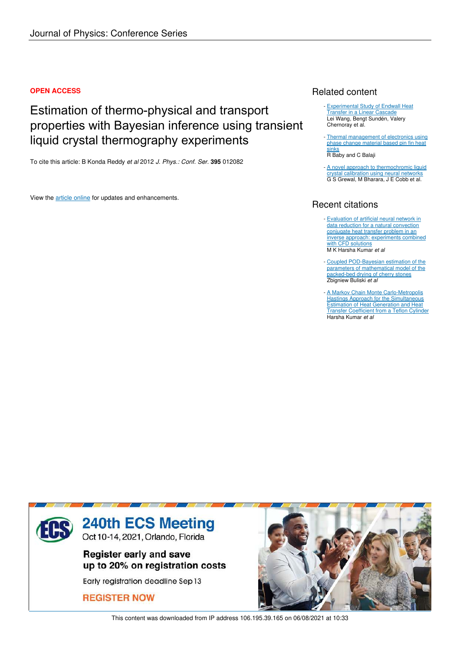#### **OPEN ACCESS**

# Estimation of thermo-physical and transport properties with Bayesian inference using transient liquid crystal thermography experiments

To cite this article: B Konda Reddy *et al* 2012 *J. Phys.: Conf. Ser.* **395** 012082

View the article online for updates and enhancements.

## Related content

- Experimental Study of Endwall Heat Transfer in a Linear Cascade Lei Wang, Bengt Sundén, Valery Chernoray et al.
- Thermal management of electronics using phase change material based pin fin heat **sinks** R Baby and C Balaji
- A novel approach to thermochromic liquid crystal calibration using neural networks G S Grewal, M Bharara, J E Cobb et al.

# Recent citations

- Evaluation of artificial neural network in data reduction for a natural convection conjugate heat transfer problem in an inverse approach: experiments combined with CFD solutions M K Harsha Kumar *et al*
- Coupled POD-Bayesian estimation of the parameters of mathematical model of the packed-bed drying of cherry stones Zbigniew Buliski *et al*
- A Markov Chain Monte Carlo-Metropolis Hastings Approach for the Simultaneous Estimation of Heat Generation and Heat Transfer Coefficient from a Teflon Cylinder Harsha Kumar *et al*



This content was downloaded from IP address 106.195.39.165 on 06/08/2021 at 10:33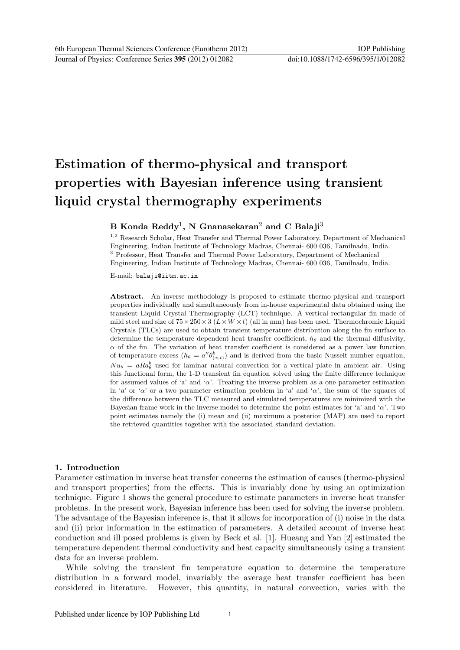# Estimation of thermo-physical and transport properties with Bayesian inference using transient liquid crystal thermography experiments

### B Konda Reddy<sup>1</sup>, N Gnanasekaran<sup>2</sup> and C Balaji<sup>3</sup>

<sup>1,2</sup> Research Scholar, Heat Transfer and Thermal Power Laboratory, Department of Mechanical Engineering, Indian Institute of Technology Madras, Chennai- 600 036, Tamilnadu, India. <sup>3</sup> Professor, Heat Transfer and Thermal Power Laboratory, Department of Mechanical Engineering, Indian Institute of Technology Madras, Chennai- 600 036, Tamilnadu, India.

E-mail: balaji@iitm.ac.in

Abstract. An inverse methodology is proposed to estimate thermo-physical and transport properties individually and simultaneously from in-house experimental data obtained using the transient Liquid Crystal Thermography (LCT) technique. A vertical rectangular fin made of mild steel and size of  $75\times250\times3$  ( $L\times W\times t$ ) (all in mm) has been used. Thermochromic Liquid Crystals (TLCs) are used to obtain transient temperature distribution along the fin surface to determine the temperature dependent heat transfer coefficient,  $h_{\theta}$  and the thermal diffusivity,  $\alpha$  of the fin. The variation of heat transfer coefficient is considered as a power law function of temperature excess  $(h_{\theta} = a'' \theta_{(x,t)}^b)$  and is derived from the basic Nusselt number equation,  $Nu_{\theta} = aRa_{\theta}^{b}$  used for laminar natural convection for a vertical plate in ambient air. Using this functional form, the 1-D transient fin equation solved using the finite difference technique for assumed values of 'a' and ' $\alpha$ '. Treating the inverse problem as a one parameter estimation in 'a' or ' $\alpha$ ' or a two parameter estimation problem in 'a' and ' $\alpha$ ', the sum of the squares of the difference between the TLC measured and simulated temperatures are minimized with the Bayesian frame work in the inverse model to determine the point estimates for 'a' and ' $\alpha$ '. Two point estimates namely the (i) mean and (ii) maximum a posterior (MAP) are used to report the retrieved quantities together with the associated standard deviation.

#### 1. Introduction

Parameter estimation in inverse heat transfer concerns the estimation of causes (thermo-physical and transport properties) from the effects. This is invariably done by using an optimization technique. Figure 1 shows the general procedure to estimate parameters in inverse heat transfer problems. In the present work, Bayesian inference has been used for solving the inverse problem. The advantage of the Bayesian inference is, that it allows for incorporation of (i) noise in the data and (ii) prior information in the estimation of parameters. A detailed account of inverse heat conduction and ill posed problems is given by Beck et al. [1]. Hueang and Yan [2] estimated the temperature dependent thermal conductivity and heat capacity simultaneously using a transient data for an inverse problem.

While solving the transient fin temperature equation to determine the temperature distribution in a forward model, invariably the average heat transfer coefficient has been considered in literature. However, this quantity, in natural convection, varies with the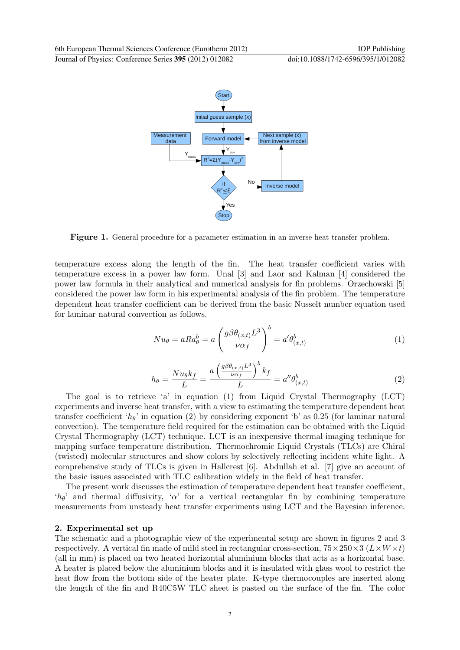

Figure 1. General procedure for a parameter estimation in an inverse heat transfer problem.

temperature excess along the length of the fin. The heat transfer coefficient varies with temperature excess in a power law form. Unal [3] and Laor and Kalman [4] considered the power law formula in their analytical and numerical analysis for fin problems. Orzechowski [5] considered the power law form in his experimental analysis of the fin problem. The temperature dependent heat transfer coefficient can be derived from the basic Nusselt number equation used for laminar natural convection as follows.

$$
Nu_{\theta} = aRa_{\theta}^{b} = a\left(\frac{g\beta\theta_{(x,t)}L^{3}}{\nu\alpha_{f}}\right)^{b} = a'\theta_{(x,t)}^{b}
$$
\n<sup>(1)</sup>

$$
h_{\theta} = \frac{Nu_{\theta}k_f}{L} = \frac{a\left(\frac{g\beta\theta_{(x,t)}L^3}{\nu\alpha_f}\right)^b k_f}{L} = a''\theta_{(x,t)}^b \tag{2}
$$

The goal is to retrieve 'a' in equation (1) from Liquid Crystal Thermography (LCT) experiments and inverse heat transfer, with a view to estimating the temperature dependent heat transfer coefficient ' $h_{\theta}$ ' in equation (2) by considering exponent 'b' as 0.25 (for laminar natural convection). The temperature field required for the estimation can be obtained with the Liquid Crystal Thermography (LCT) technique. LCT is an inexpensive thermal imaging technique for mapping surface temperature distribution. Thermochromic Liquid Crystals (TLCs) are Chiral (twisted) molecular structures and show colors by selectively reflecting incident white light. A comprehensive study of TLCs is given in Hallcrest [6]. Abdullah et al. [7] give an account of the basic issues associated with TLC calibration widely in the field of heat transfer.

The present work discusses the estimation of temperature dependent heat transfer coefficient, 'h $\theta$ ' and thermal diffusivity, ' $\alpha$ ' for a vertical rectangular fin by combining temperature measurements from unsteady heat transfer experiments using LCT and the Bayesian inference.

#### 2. Experimental set up

The schematic and a photographic view of the experimental setup are shown in figures 2 and 3 respectively. A vertical fin made of mild steel in rectangular cross-section,  $75 \times 250 \times 3$  ( $L \times W \times t$ ) (all in mm) is placed on two heated horizontal aluminium blocks that acts as a horizontal base. A heater is placed below the aluminium blocks and it is insulated with glass wool to restrict the heat flow from the bottom side of the heater plate. K-type thermocouples are inserted along the length of the fin and R40C5W TLC sheet is pasted on the surface of the fin. The color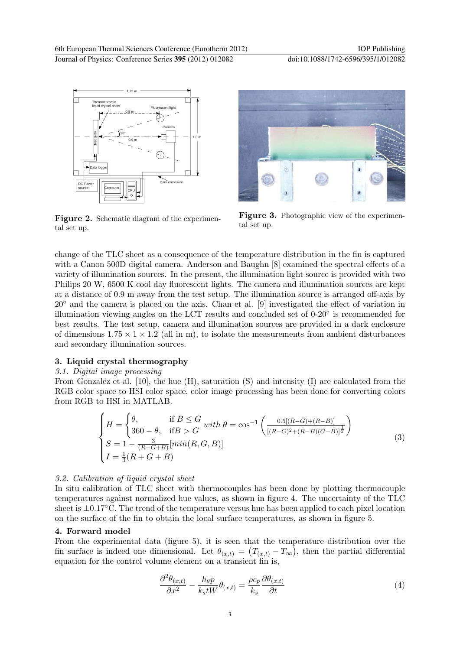

Figure 2. Schematic diagram of the experimental set up.



Figure 3. Photographic view of the experimental set up.

change of the TLC sheet as a consequence of the temperature distribution in the fin is captured with a Canon 500D digital camera. Anderson and Baughn [8] examined the spectral effects of a variety of illumination sources. In the present, the illumination light source is provided with two Philips 20 W, 6500 K cool day fluorescent lights. The camera and illumination sources are kept at a distance of 0.9 m away from the test setup. The illumination source is arranged off-axis by 20◦ and the camera is placed on the axis. Chan et al. [9] investigated the effect of variation in illumination viewing angles on the LCT results and concluded set of 0-20◦ is recommended for best results. The test setup, camera and illumination sources are provided in a dark enclosure of dimensions  $1.75 \times 1 \times 1.2$  (all in m), to isolate the measurements from ambient disturbances and secondary illumination sources.

### 3. Liquid crystal thermography

#### 3.1. Digital image processing

From Gonzalez et al. [10], the hue (H), saturation (S) and intensity (I) are calculated from the RGB color space to HSI color space, color image processing has been done for converting colors from RGB to HSI in MATLAB.

$$
\begin{cases}\nH = \begin{cases}\n\theta, & \text{if } B \le G \\
360 - \theta, & \text{if } B > G\n\end{cases} with \ \theta = \cos^{-1}\left(\frac{0.5[(R-G) + (R-B)]}{[(R-G)^2 + (R-B)(G-B)]^{\frac{1}{2}}}\right) \\
S = 1 - \frac{3}{(R+G+B)}[min(R, G, B)] \\
I = \frac{1}{3}(R+G+B)\n\end{cases} (3)
$$

#### 3.2. Calibration of liquid crystal sheet

In situ calibration of TLC sheet with thermocouples has been done by plotting thermocouple temperatures against normalized hue values, as shown in figure 4. The uncertainty of the TLC sheet is  $\pm 0.17^{\circ}$ C. The trend of the temperature versus hue has been applied to each pixel location on the surface of the fin to obtain the local surface temperatures, as shown in figure 5.

#### 4. Forward model

From the experimental data (figure 5), it is seen that the temperature distribution over the fin surface is indeed one dimensional. Let  $\theta_{(x,t)} = (T_{(x,t)} - T_{\infty})$ , then the partial differential equation for the control volume element on a transient fin is,

$$
\frac{\partial^2 \theta_{(x,t)}}{\partial x^2} - \frac{h_{\theta} p}{k_s t W} \theta_{(x,t)} = \frac{\rho c_p}{k_s} \frac{\partial \theta_{(x,t)}}{\partial t}
$$
(4)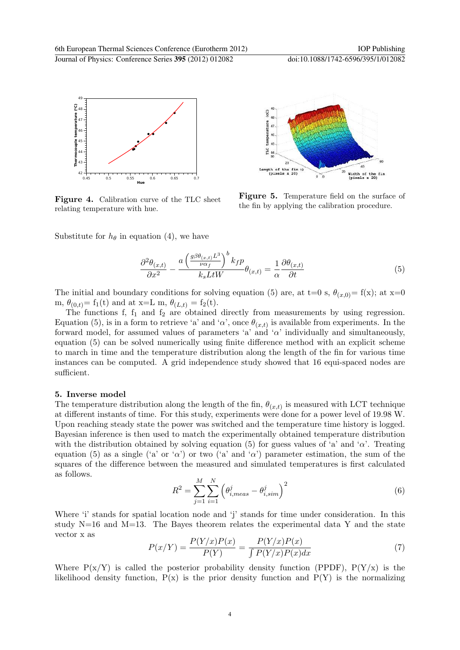

Figure 4. Calibration curve of the TLC sheet relating temperature with hue.



**Figure 5.** Temperature field on the surface of the fin by applying the calibration procedure.

Substitute for  $h_{\theta}$  in equation (4), we have

$$
\frac{\partial^2 \theta_{(x,t)}}{\partial x^2} - \frac{a \left(\frac{g \beta \theta_{(x,t)} L^3}{\nu \alpha_f} \right)^b k_f p}{k_s L t W} \theta_{(x,t)} = \frac{1}{\alpha} \frac{\partial \theta_{(x,t)}}{\partial t} \tag{5}
$$

The initial and boundary conditions for solving equation (5) are, at t=0 s,  $\theta_{(x,0)} = f(x)$ ; at x=0 m,  $\theta_{(0,t)} = f_1(t)$  and at x=L m,  $\theta_{(L,t)} = f_2(t)$ .

The functions f,  $f_1$  and  $f_2$  are obtained directly from measurements by using regression. Equation (5), is in a form to retrieve 'a' and ' $\alpha$ ', once  $\theta_{(x,t)}$  is available from experiments. In the forward model, for assumed values of parameters 'a' and ' $\alpha$ ' individually and simultaneously, equation (5) can be solved numerically using finite difference method with an explicit scheme to march in time and the temperature distribution along the length of the fin for various time instances can be computed. A grid independence study showed that 16 equi-spaced nodes are sufficient.

#### 5. Inverse model

The temperature distribution along the length of the fin,  $\theta_{(x,t)}$  is measured with LCT technique at different instants of time. For this study, experiments were done for a power level of 19.98 W. Upon reaching steady state the power was switched and the temperature time history is logged. Bayesian inference is then used to match the experimentally obtained temperature distribution with the distribution obtained by solving equation (5) for guess values of 'a' and ' $\alpha$ '. Treating equation (5) as a single ('a' or ' $\alpha$ ') or two ('a' and ' $\alpha$ ') parameter estimation, the sum of the squares of the difference between the measured and simulated temperatures is first calculated as follows.

$$
R^{2} = \sum_{j=1}^{M} \sum_{i=1}^{N} (\theta_{i,meas}^{j} - \theta_{i,sim}^{j})^{2}
$$
 (6)

Where 'i' stands for spatial location node and 'j' stands for time under consideration. In this study  $N=16$  and  $M=13$ . The Bayes theorem relates the experimental data Y and the state vector x as

$$
P(x/Y) = \frac{P(Y/x)P(x)}{P(Y)} = \frac{P(Y/x)P(x)}{\int P(Y/x)P(x)dx}
$$
\n<sup>(7)</sup>

Where  $P(x/Y)$  is called the posterior probability density function (PPDF),  $P(Y/x)$  is the likelihood density function,  $P(x)$  is the prior density function and  $P(Y)$  is the normalizing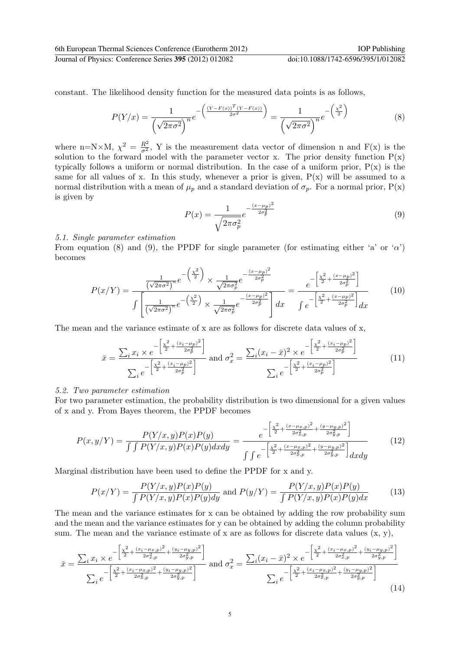6th European Thermal Sciences Conference (Eurotherm 2012) IOP Publishing Journal of Physics: Conference Series **395** (2012) 012082 doi:10.1088/1742-6596/395/1/012082

constant. The likelihood density function for the measured data points is as follows,

$$
P(Y/x) = \frac{1}{\left(\sqrt{2\pi\sigma^2}\right)^n} e^{-\left(\frac{(Y-F(x))^T(Y-F(x))}{2\sigma^2}\right)} = \frac{1}{\left(\sqrt{2\pi\sigma^2}\right)^n} e^{-\left(\frac{\chi^2}{2}\right)}
$$
(8)

where n=N×M,  $\chi^2 = \frac{R^2}{\sigma^2}$ , Y is the measurement data vector of dimension n and F(x) is the solution to the forward model with the parameter vector x. The prior density function  $P(x)$ typically follows a uniform or normal distribution. In the case of a uniform prior,  $P(x)$  is the same for all values of x. In this study, whenever a prior is given,  $P(x)$  will be assumed to a normal distribution with a mean of  $\mu_p$  and a standard deviation of  $\sigma_p$ . For a normal prior,  $P(x)$ is given by

$$
P(x) = \frac{1}{\sqrt{2\pi\sigma_p^2}} e^{-\frac{(x-\mu_p)^2}{2\sigma_p^2}}
$$
\n(9)

#### 5.1. Single parameter estimation

From equation (8) and (9), the PPDF for single parameter (for estimating either 'a' or ' $\alpha$ ') becomes

$$
P(x/Y) = \frac{\frac{1}{(\sqrt{2\pi\sigma^2})^n} e^{-\left(\frac{\chi^2}{2}\right)} \times \frac{1}{\sqrt{2\pi\sigma_p^2}} e^{-\frac{(x-\mu_p)^2}{2\sigma_p^2}}}{\int \left[\frac{1}{(\sqrt{2\pi\sigma^2})^n} e^{-\left(\frac{\chi^2}{2}\right)} \times \frac{1}{\sqrt{2\pi\sigma_p^2}} e^{-\frac{(x-\mu_p)^2}{2\sigma_p^2}}\right] dx} = \frac{e^{-\left[\frac{\chi^2}{2} + \frac{(x-\mu_p)^2}{2\sigma_p^2}\right]}}{\int e^{-\left[\frac{\chi^2}{2} + \frac{(x-\mu_p)^2}{2\sigma_p^2}\right]} dx}
$$
(10)

The mean and the variance estimate of x are as follows for discrete data values of x,

$$
\bar{x} = \frac{\sum_{i} x_{i} \times e^{-\left[\frac{\chi^{2}}{2} + \frac{(x_{i} - \mu_{p})^{2}}{2\sigma_{p}^{2}}\right]}}{\sum_{i} e^{-\left[\frac{\chi^{2}}{2} + \frac{(x_{i} - \mu_{p})^{2}}{2\sigma_{p}^{2}}\right]}} \text{ and } \sigma_{x}^{2} = \frac{\sum_{i} (x_{i} - \bar{x})^{2} \times e^{-\left[\frac{\chi^{2}}{2} + \frac{(x_{i} - \mu_{p})^{2}}{2\sigma_{p}^{2}}\right]}}{\sum_{i} e^{-\left[\frac{\chi^{2}}{2} + \frac{(x_{i} - \mu_{p})^{2}}{2\sigma_{p}^{2}}\right]}}
$$
(11)

#### 5.2. Two parameter estimation

For two parameter estimation, the probability distribution is two dimensional for a given values of x and y. From Bayes theorem, the PPDF becomes

$$
P(x,y/Y) = \frac{P(Y/x,y)P(x)P(y)}{\int \int P(Y/x,y)P(x)P(y)dxdy} = \frac{e^{-\left[\frac{\chi^2}{2} + \frac{(x-\mu_{x,p})^2}{2\sigma_{x,p}^2} + \frac{(y-\mu_{y,p})^2}{2\sigma_{y,p}^2}\right]}}{\int \int e^{-\left[\frac{\chi^2}{2} + \frac{(x-\mu_{x,p})^2}{2\sigma_{x,p}^2} + \frac{(y-\mu_{y,p})^2}{2\sigma_{y,p}^2}\right]}dxdy}
$$
(12)

Marginal distribution have been used to define the PPDF for x and y.

$$
P(x/Y) = \frac{P(Y/x, y)P(x)P(y)}{\int P(Y/x, y)P(x)P(y)dy}
$$
 and 
$$
P(y/Y) = \frac{P(Y/x, y)P(x)P(y)}{\int P(Y/x, y)P(x)P(y)dx}
$$
 (13)

The mean and the variance estimates for x can be obtained by adding the row probability sum and the mean and the variance estimates for y can be obtained by adding the column probability sum. The mean and the variance estimate of x are as follows for discrete data values  $(x, y)$ ,

$$
\bar{x} = \frac{\sum_{i} x_{i} \times e^{-\left[\frac{\chi^{2}}{2} + \frac{(x_{i} - \mu_{x,p})^{2}}{2\sigma_{x,p}^{2}} + \frac{(y_{i} - \mu_{y,p})^{2}}{2\sigma_{y,p}^{2}}\right]}}{\sum_{i} e^{-\left[\frac{\chi^{2}}{2} + \frac{(x_{i} - \mu_{x,p})^{2}}{2\sigma_{x,p}^{2}} + \frac{(y_{i} - \mu_{y,p})^{2}}{2\sigma_{y,p}^{2}}\right]}} \text{ and } \sigma_{x}^{2} = \frac{\sum_{i} (x_{i} - \bar{x})^{2} \times e^{-\left[\frac{\chi^{2}}{2} + \frac{(x_{i} - \mu_{x,p})^{2}}{2\sigma_{x,p}^{2}} + \frac{(y_{i} - \mu_{y,p})^{2}}{2\sigma_{y,p}^{2}}\right]}}{\sum_{i} e^{-\left[\frac{\chi^{2}}{2} + \frac{(x_{i} - \mu_{x,p})^{2}}{2\sigma_{x,p}^{2}} + \frac{(y_{i} - \mu_{y,p})^{2}}{2\sigma_{y,p}^{2}}\right]}} \tag{14}
$$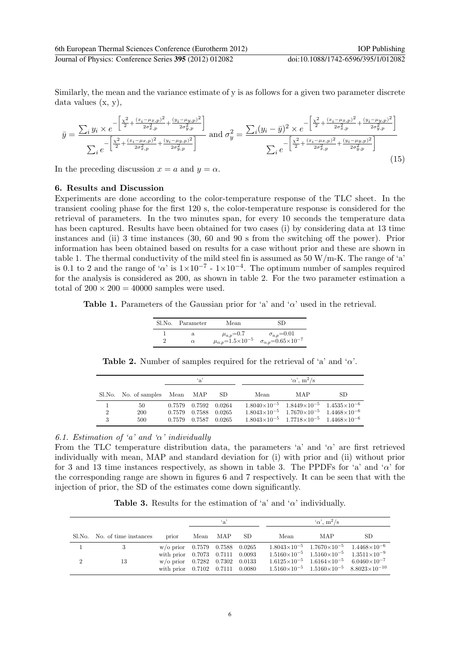Similarly, the mean and the variance estimate of y is as follows for a given two parameter discrete data values (x, y),

$$
\bar{y} = \frac{\sum_{i} y_{i} \times e^{-\left[\frac{\chi^{2}}{2} + \frac{(x_{i} - \mu_{x,p})^{2}}{2\sigma_{x,p}^{2}} + \frac{(y_{i} - \mu_{y,p})^{2}}{2\sigma_{y,p}^{2}}\right]}}{\sum_{i} e^{-\left[\frac{\chi^{2}}{2} + \frac{(x_{i} - \mu_{x,p})^{2}}{2\sigma_{x,p}^{2}} + \frac{(y_{i} - \mu_{y,p})^{2}}{2\sigma_{y,p}^{2}}\right]}} \text{ and } \sigma_{y}^{2} = \frac{\sum_{i} (y_{i} - \bar{y})^{2} \times e^{-\left[\frac{\chi^{2}}{2} + \frac{(x_{i} - \mu_{x,p})^{2}}{2\sigma_{x,p}^{2}} + \frac{(y_{i} - \mu_{y,p})^{2}}{2\sigma_{y,p}^{2}}\right]}}{\sum_{i} e^{-\left[\frac{\chi^{2}}{2} + \frac{(x_{i} - \mu_{x,p})^{2}}{2\sigma_{x,p}^{2}} + \frac{(y_{i} - \mu_{y,p})^{2}}{2\sigma_{y,p}^{2}}\right]}} \tag{15}
$$

In the preceding discussion  $x = a$  and  $y = \alpha$ .

#### 6. Results and Discussion

Experiments are done according to the color-temperature response of the TLC sheet. In the transient cooling phase for the first 120 s, the color-temperature response is considered for the retrieval of parameters. In the two minutes span, for every 10 seconds the temperature data has been captured. Results have been obtained for two cases (i) by considering data at 13 time instances and (ii) 3 time instances (30, 60 and 90 s from the switching off the power). Prior information has been obtained based on results for a case without prior and these are shown in table 1. The thermal conductivity of the mild steel fin is assumed as  $50 \,\mathrm{W/m\text{-}K}$ . The range of 'a' is 0.1 to 2 and the range of ' $\alpha$ ' is  $1 \times 10^{-7}$  -  $1 \times 10^{-4}$ . The optimum number of samples required for the analysis is considered as 200, as shown in table 2. For the two parameter estimation a total of  $200 \times 200 = 40000$  samples were used.

Table 1. Parameters of the Gaussian prior for 'a' and ' $\alpha$ ' used in the retrieval.

|   | Sl.No. Parameter | Mean                                  | SD.                                       |
|---|------------------|---------------------------------------|-------------------------------------------|
|   | a                | $\mu_{a,p} = 0.7$                     | $\sigma_{a,p} = 0.01$                     |
| ച | $\alpha$         | $\mu_{\alpha,p} = 1.5 \times 10^{-5}$ | $\sigma_{\alpha,p} = 0.65 \times 10^{-7}$ |

|                                | ் உ |                      |      | $\alpha$ , m <sup>2</sup> /s                                                                                                 |     |    |  |
|--------------------------------|-----|----------------------|------|------------------------------------------------------------------------------------------------------------------------------|-----|----|--|
| Sl.No. No. of samples Mean MAP |     |                      | - SD | Mean                                                                                                                         | MAP | SD |  |
| 50                             |     | 0.7579 0.7592 0.0264 |      | $1.8040\times10^{-5}$ $1.8449\times10^{-5}$ $1.4535\times10^{-6}$<br>$\overline{c}$ , we have the contract of $\overline{c}$ |     |    |  |

 $\begin{array}{ccccccccc} 2 & 200 & 0.7579 & 0.7588 & 0.0265 & 1.8043 \times 10^{-5} & 1.7670 \times 10^{-5} & 1.4468 \times 10^{-6} & 3 & 500 & 0.7579 & 0.7587 & 0.0265 & 1.8043 \times 10^{-5} & 1.7718 \times 10^{-5} & 1.4468 \times 10^{-6} & \end{array}$ 

 $1.7718{\times}10^{-5}$ 

**Table 2.** Number of samples required for the retrieval of 'a' and ' $\alpha$ '.

#### 6.1. Estimation of 'a' and ' $\alpha$ ' individually

From the TLC temperature distribution data, the parameters 'a' and ' $\alpha$ ' are first retrieved individually with mean, MAP and standard deviation for (i) with prior and (ii) without prior for 3 and 13 time instances respectively, as shown in table 3. The PPDFs for 'a' and ' $\alpha$ ' for the corresponding range are shown in figures 6 and 7 respectively. It can be seen that with the injection of prior, the SD of the estimates come down significantly.

Table 3. Results for the estimation of 'a' and ' $\alpha$ ' individually.

|                |                              |                                                                                                               | ʻa'  |     |     | $\alpha$ , m <sup>2</sup> /s |                                                                                                                                        |                                                                    |  |
|----------------|------------------------------|---------------------------------------------------------------------------------------------------------------|------|-----|-----|------------------------------|----------------------------------------------------------------------------------------------------------------------------------------|--------------------------------------------------------------------|--|
|                | Sl.No. No. of time instances | prior                                                                                                         | Mean | MAP | SD. | Mean                         | MAP.                                                                                                                                   | SD.                                                                |  |
|                |                              | $w$ /o prior 0.7579 0.7588 0.0265                                                                             |      |     |     |                              | $1.8043\times10^{-5}$ $1.7670\times10^{-5}$ $1.4468\times10^{-6}$                                                                      |                                                                    |  |
| $\overline{2}$ | 13                           | with prior $0.7073$ $0.7111$ $0.0093$<br>$w$ /o prior 0.7282 0.7302 0.0133<br>with prior 0.7102 0.7111 0.0080 |      |     |     |                              | $1.5160\times10^{-5}$ $1.5160\times10^{-5}$ $1.3511\times10^{-9}$<br>$1.6125\times10^{-5}$ $1.6164\times10^{-5}$ $6.0460\times10^{-7}$ | $1.5160\times10^{-5}$ $1.5160\times10^{-5}$ $8.8023\times10^{-10}$ |  |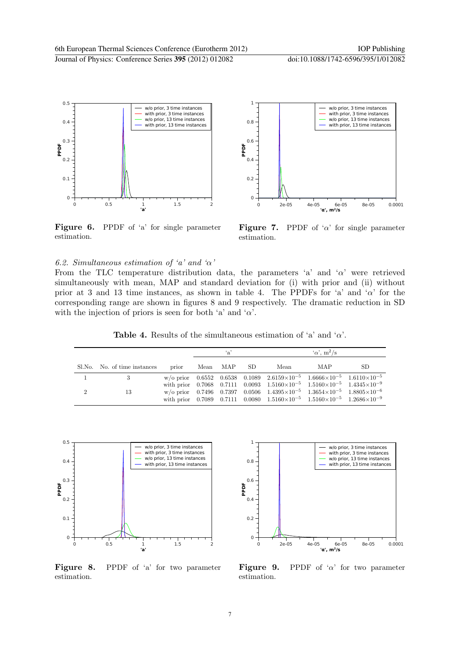

Figure 6. PPDF of 'a' for single parameter estimation.



**Figure 7.** PPDF of ' $\alpha$ ' for single parameter estimation.

#### 6.2. Simultaneous estimation of 'a' and ' $\alpha$ '

From the TLC temperature distribution data, the parameters 'a' and ' $\alpha$ ' were retrieved simultaneously with mean, MAP and standard deviation for (i) with prior and (ii) without prior at 3 and 13 time instances, as shown in table 4. The PPDFs for 'a' and ' $\alpha$ ' for the corresponding range are shown in figures 8 and 9 respectively. The dramatic reduction in SD with the injection of priors is seen for both 'a' and ' $\alpha$ '.

**Table 4.** Results of the simultaneous estimation of 'a' and ' $\alpha$ '.

|   |                              |       | $\cdot$ <sub>a</sub> |          |     | $\alpha$ , m <sup>2</sup> /s                                                                                                                                                                                                  |     |    |
|---|------------------------------|-------|----------------------|----------|-----|-------------------------------------------------------------------------------------------------------------------------------------------------------------------------------------------------------------------------------|-----|----|
|   | Sl.No. No. of time instances | prior |                      | Mean MAP | SD. | Mean                                                                                                                                                                                                                          | MAP | SD |
|   |                              |       |                      |          |     | w/o prior $0.6552$ $0.6538$ $0.1089$ $2.6159 \times 10^{-5}$ $1.6666 \times 10^{-5}$ $1.6110 \times 10^{-5}$<br>with prior $0.7068$ $0.7111$ $0.0093$ $1.5160 \times 10^{-5}$ $1.5160 \times 10^{-5}$ $1.4345 \times 10^{-9}$ |     |    |
| റ | 13                           |       |                      |          |     | w/o prior $0.7496$ $0.7397$ $0.0506$ $1.4395 \times 10^{-5}$ $1.3654 \times 10^{-5}$ $1.8805 \times 10^{-6}$<br>with prior 0.7089 0.7111 0.0080 $1.5160 \times 10^{-5}$ $1.5160 \times 10^{-5}$ $1.2686 \times 10^{-9}$       |     |    |



Figure 8. PPDF of 'a' for two parameter estimation.



**Figure 9.** PPDF of ' $\alpha$ ' for two parameter estimation.